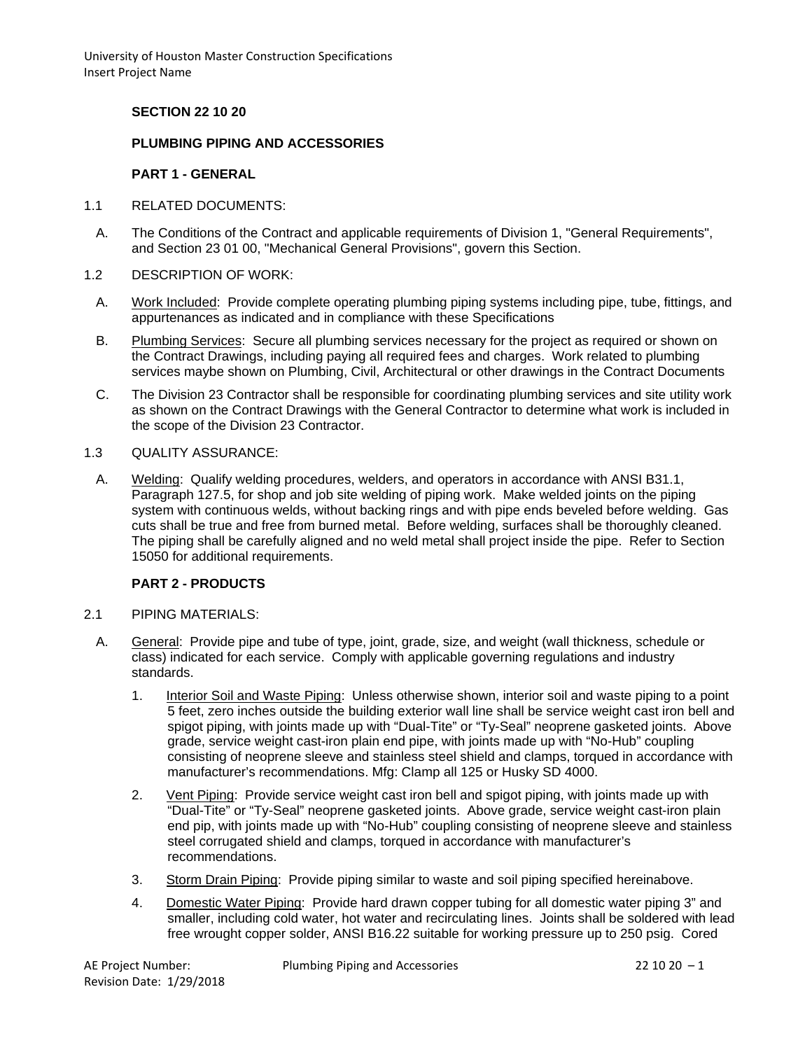### **SECTION 22 10 20**

#### **PLUMBING PIPING AND ACCESSORIES**

#### **PART 1 - GENERAL**

- 1.1 RELATED DOCUMENTS:
	- A. The Conditions of the Contract and applicable requirements of Division 1, "General Requirements", and Section 23 01 00, "Mechanical General Provisions", govern this Section.
- 1.2 DESCRIPTION OF WORK:
	- A. Work Included: Provide complete operating plumbing piping systems including pipe, tube, fittings, and appurtenances as indicated and in compliance with these Specifications
	- B. Plumbing Services: Secure all plumbing services necessary for the project as required or shown on the Contract Drawings, including paying all required fees and charges. Work related to plumbing services maybe shown on Plumbing, Civil, Architectural or other drawings in the Contract Documents
	- C. The Division 23 Contractor shall be responsible for coordinating plumbing services and site utility work as shown on the Contract Drawings with the General Contractor to determine what work is included in the scope of the Division 23 Contractor.
- 1.3 QUALITY ASSURANCE:
	- A. Welding: Qualify welding procedures, welders, and operators in accordance with ANSI B31.1, Paragraph 127.5, for shop and job site welding of piping work. Make welded joints on the piping system with continuous welds, without backing rings and with pipe ends beveled before welding. Gas cuts shall be true and free from burned metal. Before welding, surfaces shall be thoroughly cleaned. The piping shall be carefully aligned and no weld metal shall project inside the pipe. Refer to Section 15050 for additional requirements.

## **PART 2 - PRODUCTS**

- 2.1 PIPING MATERIALS:
	- A. General: Provide pipe and tube of type, joint, grade, size, and weight (wall thickness, schedule or class) indicated for each service. Comply with applicable governing regulations and industry standards.
		- 1. Interior Soil and Waste Piping: Unless otherwise shown, interior soil and waste piping to a point 5 feet, zero inches outside the building exterior wall line shall be service weight cast iron bell and spigot piping, with joints made up with "Dual-Tite" or "Ty-Seal" neoprene gasketed joints. Above grade, service weight cast-iron plain end pipe, with joints made up with "No-Hub" coupling consisting of neoprene sleeve and stainless steel shield and clamps, torqued in accordance with manufacturer's recommendations. Mfg: Clamp all 125 or Husky SD 4000.
		- 2. Vent Piping: Provide service weight cast iron bell and spigot piping, with joints made up with "Dual-Tite" or "Ty-Seal" neoprene gasketed joints. Above grade, service weight cast-iron plain end pip, with joints made up with "No-Hub" coupling consisting of neoprene sleeve and stainless steel corrugated shield and clamps, torqued in accordance with manufacturer's recommendations.
		- 3. Storm Drain Piping: Provide piping similar to waste and soil piping specified hereinabove.
		- 4. Domestic Water Piping: Provide hard drawn copper tubing for all domestic water piping 3" and smaller, including cold water, hot water and recirculating lines. Joints shall be soldered with lead free wrought copper solder, ANSI B16.22 suitable for working pressure up to 250 psig. Cored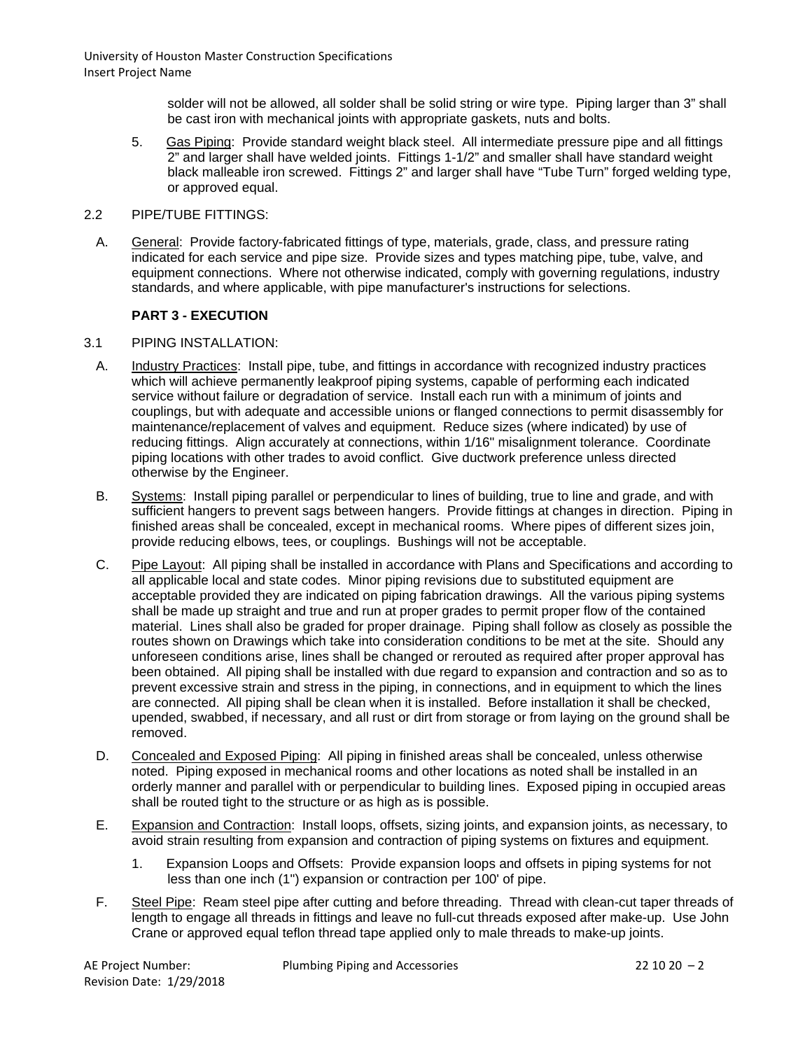> solder will not be allowed, all solder shall be solid string or wire type. Piping larger than 3" shall be cast iron with mechanical joints with appropriate gaskets, nuts and bolts.

- 5. Gas Piping: Provide standard weight black steel. All intermediate pressure pipe and all fittings 2" and larger shall have welded joints. Fittings 1-1/2" and smaller shall have standard weight black malleable iron screwed. Fittings 2" and larger shall have "Tube Turn" forged welding type, or approved equal.
- 2.2 PIPE/TUBE FITTINGS:
	- A. General: Provide factory-fabricated fittings of type, materials, grade, class, and pressure rating indicated for each service and pipe size. Provide sizes and types matching pipe, tube, valve, and equipment connections. Where not otherwise indicated, comply with governing regulations, industry standards, and where applicable, with pipe manufacturer's instructions for selections.

## **PART 3 - EXECUTION**

#### 3.1 PIPING INSTALLATION:

- A. Industry Practices: Install pipe, tube, and fittings in accordance with recognized industry practices which will achieve permanently leakproof piping systems, capable of performing each indicated service without failure or degradation of service. Install each run with a minimum of joints and couplings, but with adequate and accessible unions or flanged connections to permit disassembly for maintenance/replacement of valves and equipment. Reduce sizes (where indicated) by use of reducing fittings. Align accurately at connections, within 1/16" misalignment tolerance. Coordinate piping locations with other trades to avoid conflict. Give ductwork preference unless directed otherwise by the Engineer.
- B. Systems: Install piping parallel or perpendicular to lines of building, true to line and grade, and with sufficient hangers to prevent sags between hangers. Provide fittings at changes in direction. Piping in finished areas shall be concealed, except in mechanical rooms. Where pipes of different sizes join, provide reducing elbows, tees, or couplings. Bushings will not be acceptable.
- C. Pipe Layout: All piping shall be installed in accordance with Plans and Specifications and according to all applicable local and state codes. Minor piping revisions due to substituted equipment are acceptable provided they are indicated on piping fabrication drawings. All the various piping systems shall be made up straight and true and run at proper grades to permit proper flow of the contained material. Lines shall also be graded for proper drainage. Piping shall follow as closely as possible the routes shown on Drawings which take into consideration conditions to be met at the site. Should any unforeseen conditions arise, lines shall be changed or rerouted as required after proper approval has been obtained. All piping shall be installed with due regard to expansion and contraction and so as to prevent excessive strain and stress in the piping, in connections, and in equipment to which the lines are connected. All piping shall be clean when it is installed. Before installation it shall be checked, upended, swabbed, if necessary, and all rust or dirt from storage or from laying on the ground shall be removed.
- D. Concealed and Exposed Piping: All piping in finished areas shall be concealed, unless otherwise noted. Piping exposed in mechanical rooms and other locations as noted shall be installed in an orderly manner and parallel with or perpendicular to building lines. Exposed piping in occupied areas shall be routed tight to the structure or as high as is possible.
- E. Expansion and Contraction: Install loops, offsets, sizing joints, and expansion joints, as necessary, to avoid strain resulting from expansion and contraction of piping systems on fixtures and equipment.
	- 1. Expansion Loops and Offsets: Provide expansion loops and offsets in piping systems for not less than one inch (1") expansion or contraction per 100' of pipe.
- F. Steel Pipe: Ream steel pipe after cutting and before threading. Thread with clean-cut taper threads of length to engage all threads in fittings and leave no full-cut threads exposed after make-up. Use John Crane or approved equal teflon thread tape applied only to male threads to make-up joints.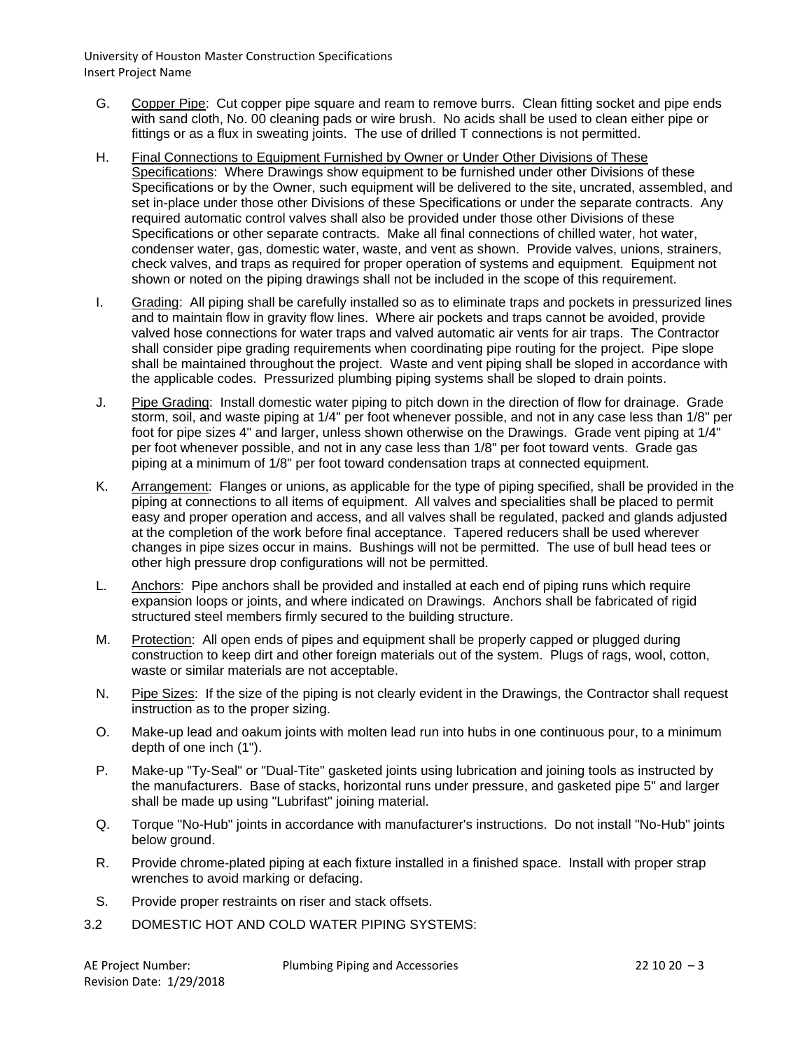- G. Copper Pipe: Cut copper pipe square and ream to remove burrs. Clean fitting socket and pipe ends with sand cloth, No. 00 cleaning pads or wire brush. No acids shall be used to clean either pipe or fittings or as a flux in sweating joints. The use of drilled T connections is not permitted.
- H. Final Connections to Equipment Furnished by Owner or Under Other Divisions of These Specifications: Where Drawings show equipment to be furnished under other Divisions of these Specifications or by the Owner, such equipment will be delivered to the site, uncrated, assembled, and set in-place under those other Divisions of these Specifications or under the separate contracts. Any required automatic control valves shall also be provided under those other Divisions of these Specifications or other separate contracts. Make all final connections of chilled water, hot water, condenser water, gas, domestic water, waste, and vent as shown. Provide valves, unions, strainers, check valves, and traps as required for proper operation of systems and equipment. Equipment not shown or noted on the piping drawings shall not be included in the scope of this requirement.
- I. Grading: All piping shall be carefully installed so as to eliminate traps and pockets in pressurized lines and to maintain flow in gravity flow lines. Where air pockets and traps cannot be avoided, provide valved hose connections for water traps and valved automatic air vents for air traps. The Contractor shall consider pipe grading requirements when coordinating pipe routing for the project. Pipe slope shall be maintained throughout the project. Waste and vent piping shall be sloped in accordance with the applicable codes. Pressurized plumbing piping systems shall be sloped to drain points.
- J. Pipe Grading: Install domestic water piping to pitch down in the direction of flow for drainage. Grade storm, soil, and waste piping at 1/4" per foot whenever possible, and not in any case less than 1/8" per foot for pipe sizes 4" and larger, unless shown otherwise on the Drawings. Grade vent piping at 1/4" per foot whenever possible, and not in any case less than 1/8" per foot toward vents. Grade gas piping at a minimum of 1/8" per foot toward condensation traps at connected equipment.
- K. Arrangement: Flanges or unions, as applicable for the type of piping specified, shall be provided in the piping at connections to all items of equipment. All valves and specialities shall be placed to permit easy and proper operation and access, and all valves shall be regulated, packed and glands adjusted at the completion of the work before final acceptance. Tapered reducers shall be used wherever changes in pipe sizes occur in mains. Bushings will not be permitted. The use of bull head tees or other high pressure drop configurations will not be permitted.
- L. Anchors: Pipe anchors shall be provided and installed at each end of piping runs which require expansion loops or joints, and where indicated on Drawings. Anchors shall be fabricated of rigid structured steel members firmly secured to the building structure.
- M. Protection: All open ends of pipes and equipment shall be properly capped or plugged during construction to keep dirt and other foreign materials out of the system. Plugs of rags, wool, cotton, waste or similar materials are not acceptable.
- N. Pipe Sizes: If the size of the piping is not clearly evident in the Drawings, the Contractor shall request instruction as to the proper sizing.
- O. Make-up lead and oakum joints with molten lead run into hubs in one continuous pour, to a minimum depth of one inch (1").
- P. Make-up "Ty-Seal" or "Dual-Tite" gasketed joints using lubrication and joining tools as instructed by the manufacturers. Base of stacks, horizontal runs under pressure, and gasketed pipe 5" and larger shall be made up using "Lubrifast" joining material.
- Q. Torque "No-Hub" joints in accordance with manufacturer's instructions. Do not install "No-Hub" joints below ground.
- R. Provide chrome-plated piping at each fixture installed in a finished space. Install with proper strap wrenches to avoid marking or defacing.
- S. Provide proper restraints on riser and stack offsets.
- 3.2 DOMESTIC HOT AND COLD WATER PIPING SYSTEMS: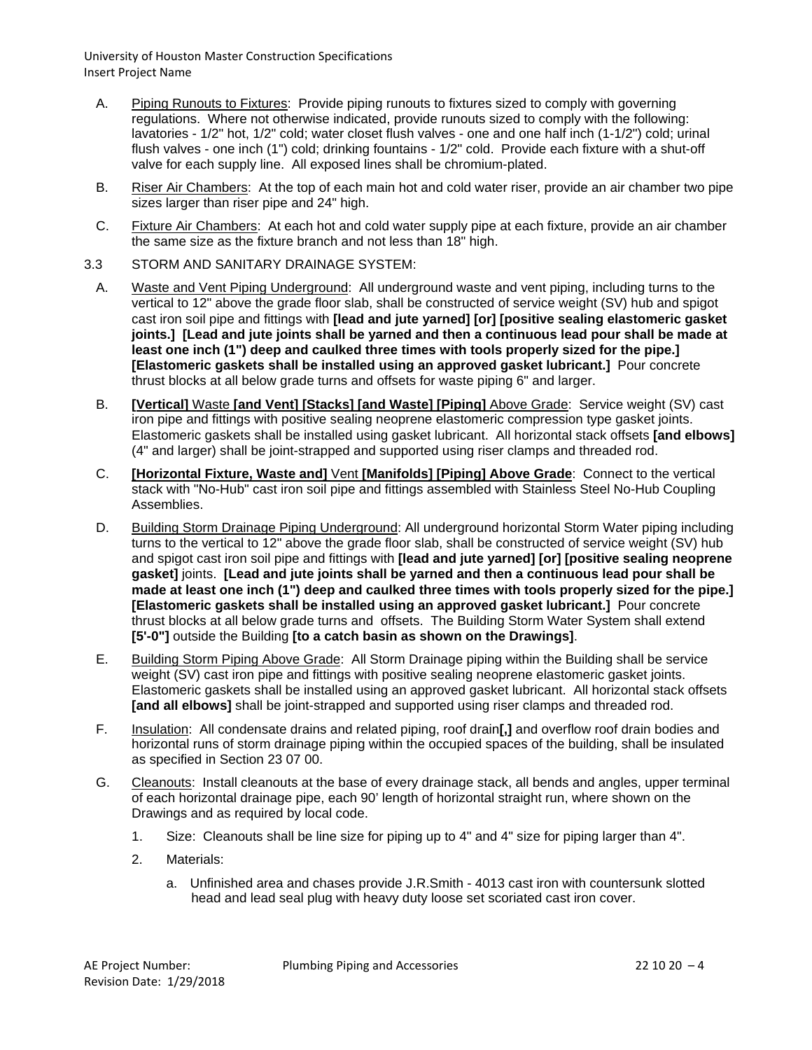- A. Piping Runouts to Fixtures: Provide piping runouts to fixtures sized to comply with governing regulations. Where not otherwise indicated, provide runouts sized to comply with the following: lavatories - 1/2" hot, 1/2" cold; water closet flush valves - one and one half inch (1-1/2") cold; urinal flush valves - one inch (1") cold; drinking fountains - 1/2" cold. Provide each fixture with a shut-off valve for each supply line. All exposed lines shall be chromium-plated.
- B. Riser Air Chambers: At the top of each main hot and cold water riser, provide an air chamber two pipe sizes larger than riser pipe and 24" high.
- C. Fixture Air Chambers: At each hot and cold water supply pipe at each fixture, provide an air chamber the same size as the fixture branch and not less than 18" high.
- 3.3 STORM AND SANITARY DRAINAGE SYSTEM:
	- A. Waste and Vent Piping Underground: All underground waste and vent piping, including turns to the vertical to 12" above the grade floor slab, shall be constructed of service weight (SV) hub and spigot cast iron soil pipe and fittings with **[lead and jute yarned] [or] [positive sealing elastomeric gasket joints.] [Lead and jute joints shall be yarned and then a continuous lead pour shall be made at least one inch (1") deep and caulked three times with tools properly sized for the pipe.] [Elastomeric gaskets shall be installed using an approved gasket lubricant.]** Pour concrete thrust blocks at all below grade turns and offsets for waste piping 6" and larger.
	- B. **[Vertical]** Waste **[and Vent] [Stacks] [and Waste] [Piping]** Above Grade: Service weight (SV) cast iron pipe and fittings with positive sealing neoprene elastomeric compression type gasket joints. Elastomeric gaskets shall be installed using gasket lubricant. All horizontal stack offsets **[and elbows]** (4" and larger) shall be joint-strapped and supported using riser clamps and threaded rod.
	- C. **[Horizontal Fixture, Waste and]** Vent **[Manifolds] [Piping] Above Grade**: Connect to the vertical stack with "No-Hub" cast iron soil pipe and fittings assembled with Stainless Steel No-Hub Coupling Assemblies.
	- D. Building Storm Drainage Piping Underground: All underground horizontal Storm Water piping including turns to the vertical to 12" above the grade floor slab, shall be constructed of service weight (SV) hub and spigot cast iron soil pipe and fittings with **[lead and jute yarned] [or] [positive sealing neoprene gasket]** joints. **[Lead and jute joints shall be yarned and then a continuous lead pour shall be made at least one inch (1") deep and caulked three times with tools properly sized for the pipe.] [Elastomeric gaskets shall be installed using an approved gasket lubricant.]** Pour concrete thrust blocks at all below grade turns and offsets. The Building Storm Water System shall extend **[5'-0"]** outside the Building **[to a catch basin as shown on the Drawings]**.
	- E. Building Storm Piping Above Grade: All Storm Drainage piping within the Building shall be service weight (SV) cast iron pipe and fittings with positive sealing neoprene elastomeric gasket joints. Elastomeric gaskets shall be installed using an approved gasket lubricant. All horizontal stack offsets **[and all elbows]** shall be joint-strapped and supported using riser clamps and threaded rod.
	- F. Insulation: All condensate drains and related piping, roof drain**[,]** and overflow roof drain bodies and horizontal runs of storm drainage piping within the occupied spaces of the building, shall be insulated as specified in Section 23 07 00.
	- G. Cleanouts: Install cleanouts at the base of every drainage stack, all bends and angles, upper terminal of each horizontal drainage pipe, each 90' length of horizontal straight run, where shown on the Drawings and as required by local code.
		- 1. Size: Cleanouts shall be line size for piping up to 4" and 4" size for piping larger than 4".
		- 2. Materials:
			- a. Unfinished area and chases provide J.R.Smith 4013 cast iron with countersunk slotted head and lead seal plug with heavy duty loose set scoriated cast iron cover.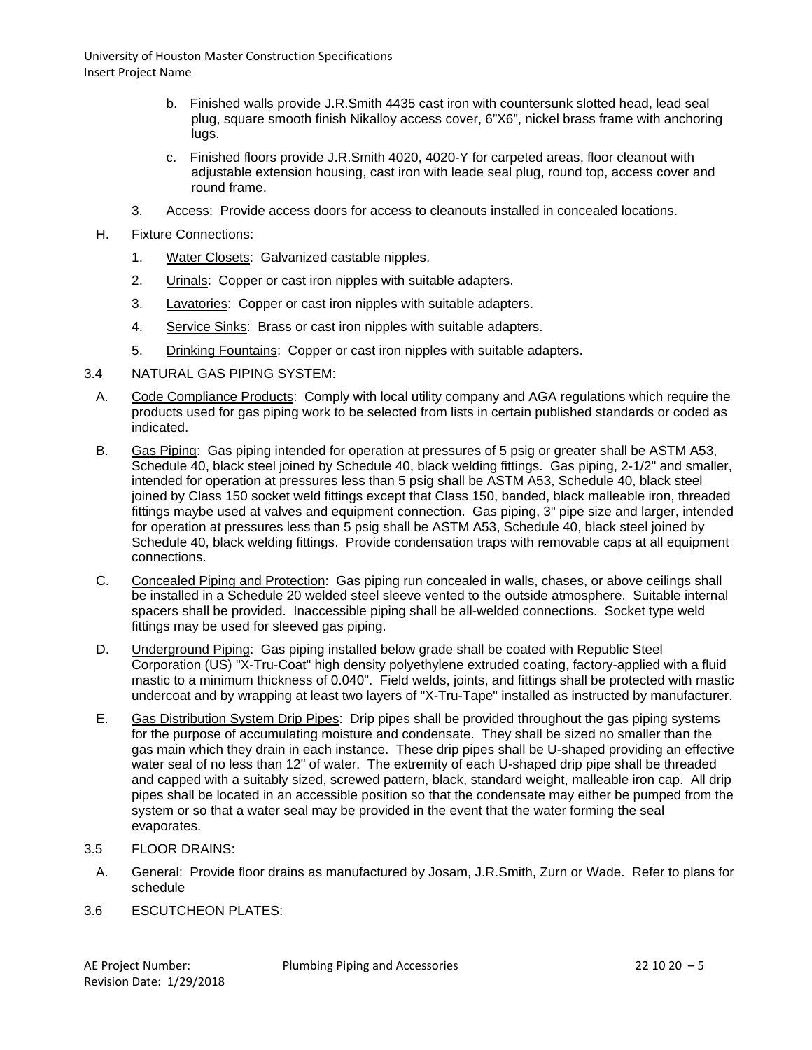- b. Finished walls provide J.R.Smith 4435 cast iron with countersunk slotted head, lead seal plug, square smooth finish Nikalloy access cover, 6"X6", nickel brass frame with anchoring lugs.
- c. Finished floors provide J.R.Smith 4020, 4020-Y for carpeted areas, floor cleanout with adjustable extension housing, cast iron with leade seal plug, round top, access cover and round frame.
- 3. Access: Provide access doors for access to cleanouts installed in concealed locations.
- H. Fixture Connections:
	- 1. Water Closets: Galvanized castable nipples.
	- 2. Urinals: Copper or cast iron nipples with suitable adapters.
	- 3. Lavatories: Copper or cast iron nipples with suitable adapters.
	- 4. Service Sinks: Brass or cast iron nipples with suitable adapters.
	- 5. Drinking Fountains: Copper or cast iron nipples with suitable adapters.
- 3.4 NATURAL GAS PIPING SYSTEM:
	- A. Code Compliance Products: Comply with local utility company and AGA regulations which require the products used for gas piping work to be selected from lists in certain published standards or coded as indicated.
	- B. Gas Piping: Gas piping intended for operation at pressures of 5 psig or greater shall be ASTM A53, Schedule 40, black steel joined by Schedule 40, black welding fittings. Gas piping, 2-1/2" and smaller, intended for operation at pressures less than 5 psig shall be ASTM A53, Schedule 40, black steel joined by Class 150 socket weld fittings except that Class 150, banded, black malleable iron, threaded fittings maybe used at valves and equipment connection. Gas piping, 3" pipe size and larger, intended for operation at pressures less than 5 psig shall be ASTM A53, Schedule 40, black steel joined by Schedule 40, black welding fittings. Provide condensation traps with removable caps at all equipment connections.
	- C. Concealed Piping and Protection: Gas piping run concealed in walls, chases, or above ceilings shall be installed in a Schedule 20 welded steel sleeve vented to the outside atmosphere. Suitable internal spacers shall be provided. Inaccessible piping shall be all-welded connections. Socket type weld fittings may be used for sleeved gas piping.
	- D. Underground Piping: Gas piping installed below grade shall be coated with Republic Steel Corporation (US) "X-Tru-Coat" high density polyethylene extruded coating, factory-applied with a fluid mastic to a minimum thickness of 0.040". Field welds, joints, and fittings shall be protected with mastic undercoat and by wrapping at least two layers of "X-Tru-Tape" installed as instructed by manufacturer.
	- E. Gas Distribution System Drip Pipes: Drip pipes shall be provided throughout the gas piping systems for the purpose of accumulating moisture and condensate. They shall be sized no smaller than the gas main which they drain in each instance. These drip pipes shall be U-shaped providing an effective water seal of no less than 12" of water. The extremity of each U-shaped drip pipe shall be threaded and capped with a suitably sized, screwed pattern, black, standard weight, malleable iron cap. All drip pipes shall be located in an accessible position so that the condensate may either be pumped from the system or so that a water seal may be provided in the event that the water forming the seal evaporates.
- 3.5 FLOOR DRAINS:
- A. General: Provide floor drains as manufactured by Josam, J.R.Smith, Zurn or Wade. Refer to plans for schedule
- 3.6 ESCUTCHEON PLATES: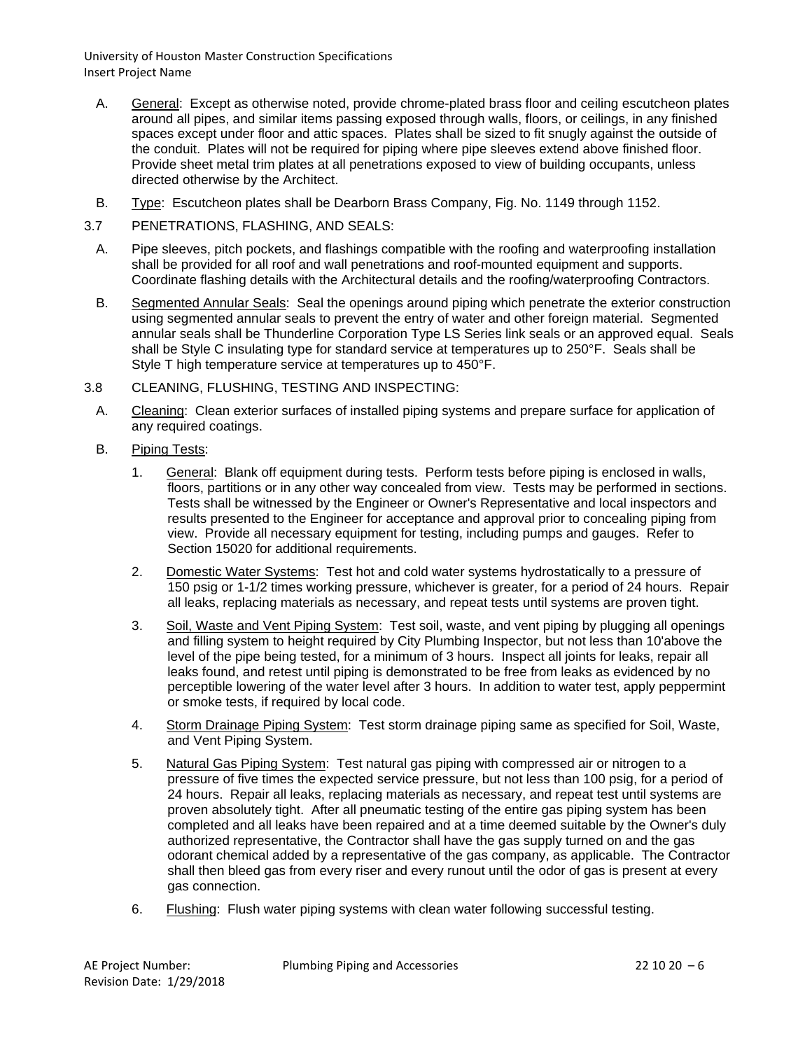- A. General: Except as otherwise noted, provide chrome-plated brass floor and ceiling escutcheon plates around all pipes, and similar items passing exposed through walls, floors, or ceilings, in any finished spaces except under floor and attic spaces. Plates shall be sized to fit snugly against the outside of the conduit. Plates will not be required for piping where pipe sleeves extend above finished floor. Provide sheet metal trim plates at all penetrations exposed to view of building occupants, unless directed otherwise by the Architect.
- B. Type: Escutcheon plates shall be Dearborn Brass Company, Fig. No. 1149 through 1152.
- 3.7 PENETRATIONS, FLASHING, AND SEALS:
	- A. Pipe sleeves, pitch pockets, and flashings compatible with the roofing and waterproofing installation shall be provided for all roof and wall penetrations and roof-mounted equipment and supports. Coordinate flashing details with the Architectural details and the roofing/waterproofing Contractors.
	- B. Segmented Annular Seals: Seal the openings around piping which penetrate the exterior construction using segmented annular seals to prevent the entry of water and other foreign material. Segmented annular seals shall be Thunderline Corporation Type LS Series link seals or an approved equal. Seals shall be Style C insulating type for standard service at temperatures up to 250°F. Seals shall be Style T high temperature service at temperatures up to 450°F.
- 3.8 CLEANING, FLUSHING, TESTING AND INSPECTING:
- A. Cleaning: Clean exterior surfaces of installed piping systems and prepare surface for application of any required coatings.
- B. Piping Tests:
	- 1. General: Blank off equipment during tests. Perform tests before piping is enclosed in walls, floors, partitions or in any other way concealed from view. Tests may be performed in sections. Tests shall be witnessed by the Engineer or Owner's Representative and local inspectors and results presented to the Engineer for acceptance and approval prior to concealing piping from view. Provide all necessary equipment for testing, including pumps and gauges. Refer to Section 15020 for additional requirements.
	- 2. Domestic Water Systems: Test hot and cold water systems hydrostatically to a pressure of 150 psig or 1-1/2 times working pressure, whichever is greater, for a period of 24 hours. Repair all leaks, replacing materials as necessary, and repeat tests until systems are proven tight.
	- 3. Soil, Waste and Vent Piping System: Test soil, waste, and vent piping by plugging all openings and filling system to height required by City Plumbing Inspector, but not less than 10'above the level of the pipe being tested, for a minimum of 3 hours. Inspect all joints for leaks, repair all leaks found, and retest until piping is demonstrated to be free from leaks as evidenced by no perceptible lowering of the water level after 3 hours. In addition to water test, apply peppermint or smoke tests, if required by local code.
	- 4. Storm Drainage Piping System: Test storm drainage piping same as specified for Soil, Waste, and Vent Piping System.
	- 5. Natural Gas Piping System: Test natural gas piping with compressed air or nitrogen to a pressure of five times the expected service pressure, but not less than 100 psig, for a period of 24 hours. Repair all leaks, replacing materials as necessary, and repeat test until systems are proven absolutely tight. After all pneumatic testing of the entire gas piping system has been completed and all leaks have been repaired and at a time deemed suitable by the Owner's duly authorized representative, the Contractor shall have the gas supply turned on and the gas odorant chemical added by a representative of the gas company, as applicable. The Contractor shall then bleed gas from every riser and every runout until the odor of gas is present at every gas connection.
	- 6. Flushing: Flush water piping systems with clean water following successful testing.